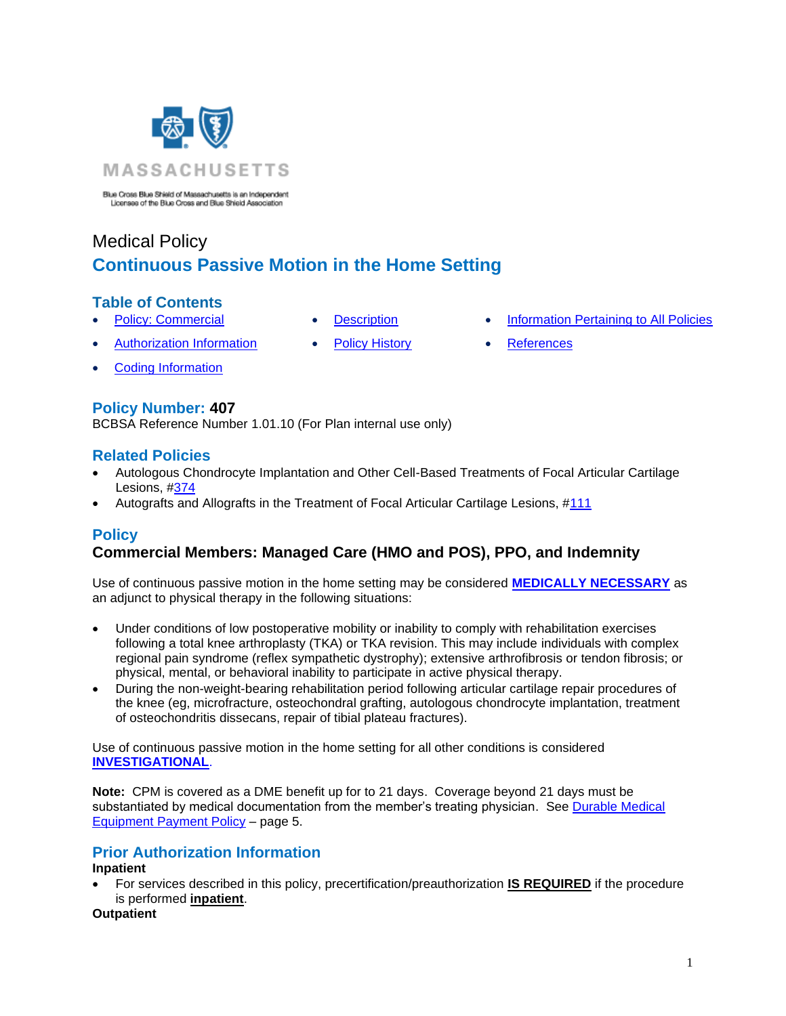

Blue Cross Blue Shield of Massachusetts is an Independent Licensee of the Blue Cross and Blue Shield Association

# Medical Policy **Continuous Passive Motion in the Home Setting**

# **Table of Contents**

- 
- 
- [Policy: Commercial](#page-0-0) [Description](#page-1-0) [Information Pertaining to All Policies](#page-3-0)
- [Authorization Information](#page-0-1) [Policy History](#page-3-1) [References](#page-3-2)
- 
- 

• [Coding Information](#page-1-1)

# **Policy Number: 407**

BCBSA Reference Number 1.01.10 (For Plan internal use only)

# **Related Policies**

- Autologous Chondrocyte Implantation and Other Cell-Based Treatments of Focal Articular Cartilage Lesions, [#374](http://www.bluecrossma.org/medical-policies/sites/g/files/csphws2091/files/acquiadam-assets/374%20Autologous%20Chondrocyte%20Implantation%20for%20Focal%20Articular%20Cartilage%20Lesions%20prn.pdf)
- <span id="page-0-0"></span>• Autografts and Allografts in the Treatment of Focal Articular Cartilage Lesions, [#111](https://www.bluecrossma.org/medical-policies/sites/g/files/csphws2091/files/acquiadam-assets/111%20Autografts%20and%20Allografts%20in%20the%20Treatment%20of%20Focal%20Articular%20Cartilage%20Lesions%20prn.pdf)

# **Policy**

# **Commercial Members: Managed Care (HMO and POS), PPO, and Indemnity**

Use of continuous passive motion in the home setting may be considered **[MEDICALLY NECESSARY](https://www.bluecrossma.org/medical-policies/sites/g/files/csphws2091/files/acquiadam-assets/Definition%20of%20Med%20Nec%20Inv%20Not%20Med%20Nec%20prn.pdf#page=1)** as an adjunct to physical therapy in the following situations:

- Under conditions of low postoperative mobility or inability to comply with rehabilitation exercises following a total knee arthroplasty (TKA) or TKA revision. This may include individuals with complex regional pain syndrome (reflex sympathetic dystrophy); extensive arthrofibrosis or tendon fibrosis; or physical, mental, or behavioral inability to participate in active physical therapy.
- During the non-weight-bearing rehabilitation period following articular cartilage repair procedures of the knee (eg, microfracture, osteochondral grafting, autologous chondrocyte implantation, treatment of osteochondritis dissecans, repair of tibial plateau fractures).

Use of continuous passive motion in the home setting for all other conditions is considered **[INVESTIGATIONAL](https://www.bluecrossma.org/medical-policies/sites/g/files/csphws2091/files/acquiadam-assets/Definition%20of%20Med%20Nec%20Inv%20Not%20Med%20Nec%20prn.pdf#page=1)**.

**Note:** CPM is covered as a DME benefit up for to 21 days. Coverage beyond 21 days must be substantiated by medical documentation from the member's treating physician. See [Durable Medical](https://provider.bluecrossma.com/ProviderHome/wcm/connect/5ce7cf62-5e8f-4db4-a8a1-f4cce9483446/Durable_medical_equipment_payment_policy.pdf?MOD=AJPERES&CONVERT_TO=URL&CACHEID=5ce7cf62-5e8f-4db4-a8a1-f4cce9483446)  [Equipment Payment Policy](https://provider.bluecrossma.com/ProviderHome/wcm/connect/5ce7cf62-5e8f-4db4-a8a1-f4cce9483446/Durable_medical_equipment_payment_policy.pdf?MOD=AJPERES&CONVERT_TO=URL&CACHEID=5ce7cf62-5e8f-4db4-a8a1-f4cce9483446) – page 5.

# <span id="page-0-1"></span>**Prior Authorization Information**

#### **Inpatient**

• For services described in this policy, precertification/preauthorization **IS REQUIRED** if the procedure is performed **inpatient**.

#### **Outpatient**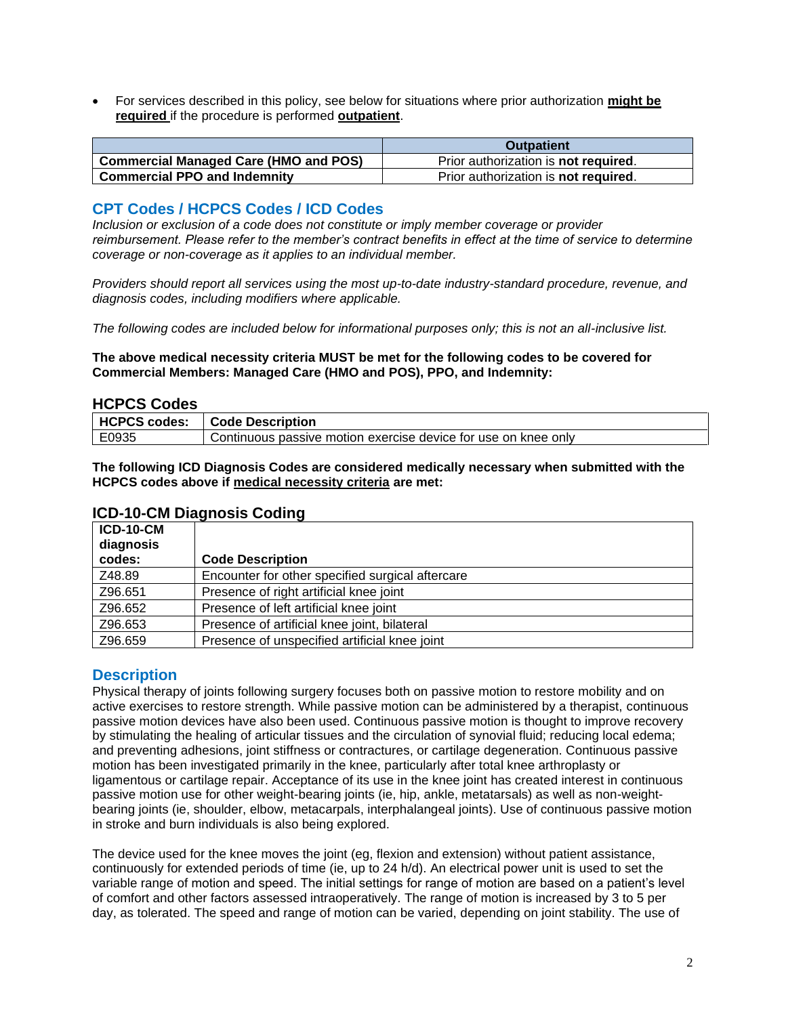• For services described in this policy, see below for situations where prior authorization **might be required** if the procedure is performed **outpatient**.

|                                       | <b>Outpatient</b>                            |
|---------------------------------------|----------------------------------------------|
| Commercial Managed Care (HMO and POS) | Prior authorization is <b>not required</b> . |
| <b>Commercial PPO and Indemnity</b>   | Prior authorization is <b>not required</b> . |

#### <span id="page-1-1"></span>**CPT Codes / HCPCS Codes / ICD Codes**

*Inclusion or exclusion of a code does not constitute or imply member coverage or provider reimbursement. Please refer to the member's contract benefits in effect at the time of service to determine coverage or non-coverage as it applies to an individual member.*

*Providers should report all services using the most up-to-date industry-standard procedure, revenue, and diagnosis codes, including modifiers where applicable.*

*The following codes are included below for informational purposes only; this is not an all-inclusive list.*

**The above medical necessity criteria MUST be met for the following codes to be covered for Commercial Members: Managed Care (HMO and POS), PPO, and Indemnity:**

#### **HCPCS Codes**

|       | HCPCS codes:   Code Description                                |
|-------|----------------------------------------------------------------|
| E0935 | Continuous passive motion exercise device for use on knee only |

<span id="page-1-0"></span>**The following ICD Diagnosis Codes are considered medically necessary when submitted with the HCPCS codes above if medical necessity criteria are met:**

| <b>ICD-10-CM</b><br>diagnosis |                                                  |
|-------------------------------|--------------------------------------------------|
| codes:                        | <b>Code Description</b>                          |
| Z48.89                        | Encounter for other specified surgical aftercare |
| Z96.651                       | Presence of right artificial knee joint          |
| Z96.652                       | Presence of left artificial knee joint           |
| Z96.653                       | Presence of artificial knee joint, bilateral     |
| Z96.659                       | Presence of unspecified artificial knee joint    |

#### **ICD-10-CM Diagnosis Coding**

#### **Description**

Physical therapy of joints following surgery focuses both on passive motion to restore mobility and on active exercises to restore strength. While passive motion can be administered by a therapist, continuous passive motion devices have also been used. Continuous passive motion is thought to improve recovery by stimulating the healing of articular tissues and the circulation of synovial fluid; reducing local edema; and preventing adhesions, joint stiffness or contractures, or cartilage degeneration. Continuous passive motion has been investigated primarily in the knee, particularly after total knee arthroplasty or ligamentous or cartilage repair. Acceptance of its use in the knee joint has created interest in continuous passive motion use for other weight-bearing joints (ie, hip, ankle, metatarsals) as well as non-weightbearing joints (ie, shoulder, elbow, metacarpals, interphalangeal joints). Use of continuous passive motion in stroke and burn individuals is also being explored.

The device used for the knee moves the joint (eg, flexion and extension) without patient assistance, continuously for extended periods of time (ie, up to 24 h/d). An electrical power unit is used to set the variable range of motion and speed. The initial settings for range of motion are based on a patient's level of comfort and other factors assessed intraoperatively. The range of motion is increased by 3 to 5 per day, as tolerated. The speed and range of motion can be varied, depending on joint stability. The use of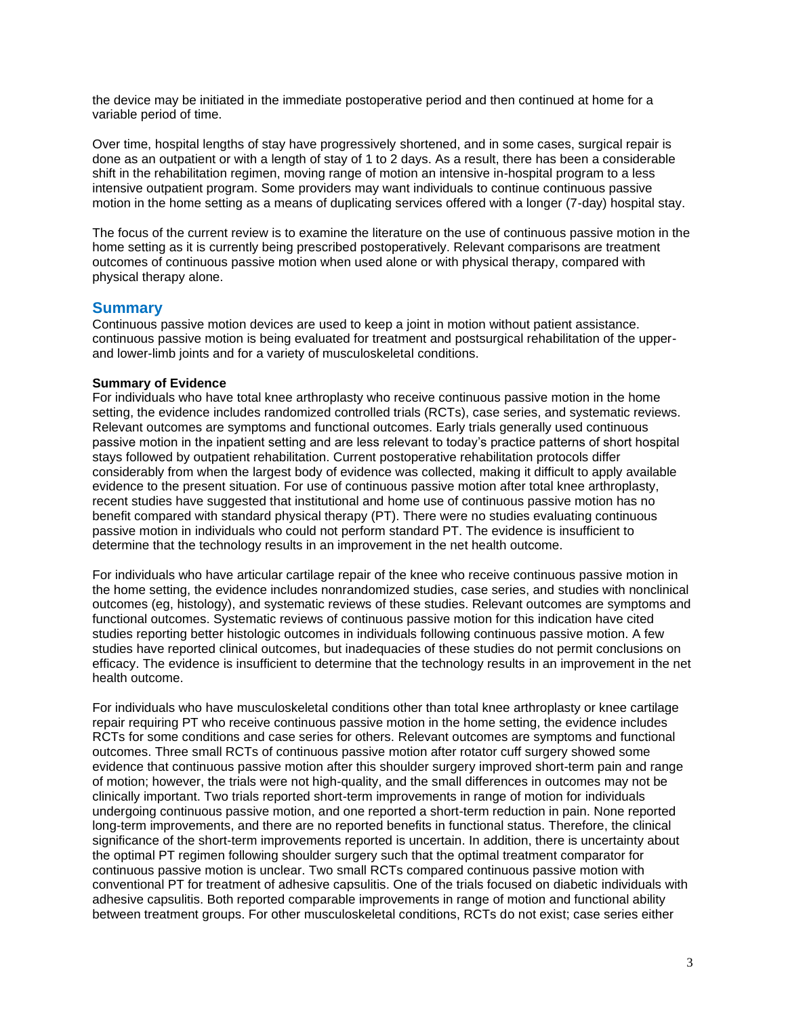the device may be initiated in the immediate postoperative period and then continued at home for a variable period of time.

Over time, hospital lengths of stay have progressively shortened, and in some cases, surgical repair is done as an outpatient or with a length of stay of 1 to 2 days. As a result, there has been a considerable shift in the rehabilitation regimen, moving range of motion an intensive in-hospital program to a less intensive outpatient program. Some providers may want individuals to continue continuous passive motion in the home setting as a means of duplicating services offered with a longer (7-day) hospital stay.

The focus of the current review is to examine the literature on the use of continuous passive motion in the home setting as it is currently being prescribed postoperatively. Relevant comparisons are treatment outcomes of continuous passive motion when used alone or with physical therapy, compared with physical therapy alone.

#### **Summary**

Continuous passive motion devices are used to keep a joint in motion without patient assistance. continuous passive motion is being evaluated for treatment and postsurgical rehabilitation of the upperand lower-limb joints and for a variety of musculoskeletal conditions.

#### **Summary of Evidence**

For individuals who have total knee arthroplasty who receive continuous passive motion in the home setting, the evidence includes randomized controlled trials (RCTs), case series, and systematic reviews. Relevant outcomes are symptoms and functional outcomes. Early trials generally used continuous passive motion in the inpatient setting and are less relevant to today's practice patterns of short hospital stays followed by outpatient rehabilitation. Current postoperative rehabilitation protocols differ considerably from when the largest body of evidence was collected, making it difficult to apply available evidence to the present situation. For use of continuous passive motion after total knee arthroplasty, recent studies have suggested that institutional and home use of continuous passive motion has no benefit compared with standard physical therapy (PT). There were no studies evaluating continuous passive motion in individuals who could not perform standard PT. The evidence is insufficient to determine that the technology results in an improvement in the net health outcome.

For individuals who have articular cartilage repair of the knee who receive continuous passive motion in the home setting, the evidence includes nonrandomized studies, case series, and studies with nonclinical outcomes (eg, histology), and systematic reviews of these studies. Relevant outcomes are symptoms and functional outcomes. Systematic reviews of continuous passive motion for this indication have cited studies reporting better histologic outcomes in individuals following continuous passive motion. A few studies have reported clinical outcomes, but inadequacies of these studies do not permit conclusions on efficacy. The evidence is insufficient to determine that the technology results in an improvement in the net health outcome.

For individuals who have musculoskeletal conditions other than total knee arthroplasty or knee cartilage repair requiring PT who receive continuous passive motion in the home setting, the evidence includes RCTs for some conditions and case series for others. Relevant outcomes are symptoms and functional outcomes. Three small RCTs of continuous passive motion after rotator cuff surgery showed some evidence that continuous passive motion after this shoulder surgery improved short-term pain and range of motion; however, the trials were not high-quality, and the small differences in outcomes may not be clinically important. Two trials reported short-term improvements in range of motion for individuals undergoing continuous passive motion, and one reported a short-term reduction in pain. None reported long-term improvements, and there are no reported benefits in functional status. Therefore, the clinical significance of the short-term improvements reported is uncertain. In addition, there is uncertainty about the optimal PT regimen following shoulder surgery such that the optimal treatment comparator for continuous passive motion is unclear. Two small RCTs compared continuous passive motion with conventional PT for treatment of adhesive capsulitis. One of the trials focused on diabetic individuals with adhesive capsulitis. Both reported comparable improvements in range of motion and functional ability between treatment groups. For other musculoskeletal conditions, RCTs do not exist; case series either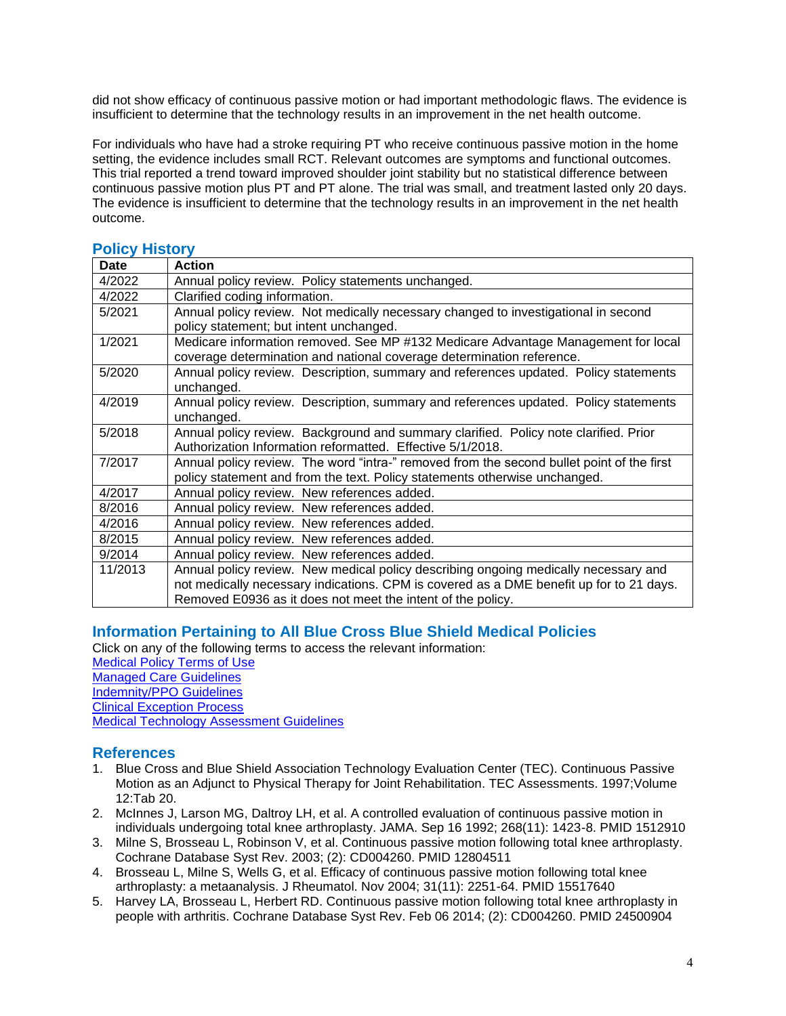did not show efficacy of continuous passive motion or had important methodologic flaws. The evidence is insufficient to determine that the technology results in an improvement in the net health outcome.

For individuals who have had a stroke requiring PT who receive continuous passive motion in the home setting, the evidence includes small RCT. Relevant outcomes are symptoms and functional outcomes. This trial reported a trend toward improved shoulder joint stability but no statistical difference between continuous passive motion plus PT and PT alone. The trial was small, and treatment lasted only 20 days. The evidence is insufficient to determine that the technology results in an improvement in the net health outcome.

| I VIIVȚI IIIVIVIȚ |                                                                                           |
|-------------------|-------------------------------------------------------------------------------------------|
| <b>Date</b>       | <b>Action</b>                                                                             |
| 4/2022            | Annual policy review. Policy statements unchanged.                                        |
| 4/2022            | Clarified coding information.                                                             |
| 5/2021            | Annual policy review. Not medically necessary changed to investigational in second        |
|                   | policy statement; but intent unchanged.                                                   |
| 1/2021            | Medicare information removed. See MP #132 Medicare Advantage Management for local         |
|                   | coverage determination and national coverage determination reference.                     |
| 5/2020            | Annual policy review. Description, summary and references updated. Policy statements      |
|                   | unchanged.                                                                                |
| 4/2019            | Annual policy review. Description, summary and references updated. Policy statements      |
|                   | unchanged.                                                                                |
| 5/2018            | Annual policy review. Background and summary clarified. Policy note clarified. Prior      |
|                   | Authorization Information reformatted. Effective 5/1/2018.                                |
| 7/2017            | Annual policy review. The word "intra-" removed from the second bullet point of the first |
|                   | policy statement and from the text. Policy statements otherwise unchanged.                |
| 4/2017            | Annual policy review. New references added.                                               |
| 8/2016            | Annual policy review. New references added.                                               |
| 4/2016            | Annual policy review. New references added.                                               |
| 8/2015            | Annual policy review. New references added.                                               |
| 9/2014            | Annual policy review. New references added.                                               |
| 11/2013           | Annual policy review. New medical policy describing ongoing medically necessary and       |
|                   | not medically necessary indications. CPM is covered as a DME benefit up for to 21 days.   |
|                   | Removed E0936 as it does not meet the intent of the policy.                               |

#### <span id="page-3-1"></span>**Policy History**

#### <span id="page-3-0"></span>**Information Pertaining to All Blue Cross Blue Shield Medical Policies**

Click on any of the following terms to access the relevant information: [Medical Policy Terms of Use](http://www.bluecrossma.org/medical-policies/sites/g/files/csphws2091/files/acquiadam-assets/Medical_Policy_Terms_of_Use_prn.pdf) [Managed Care Guidelines](http://www.bluecrossma.org/medical-policies/sites/g/files/csphws2091/files/acquiadam-assets/Managed_Care_Guidelines_prn.pdf) [Indemnity/PPO Guidelines](http://www.bluecrossma.org/medical-policies/sites/g/files/csphws2091/files/acquiadam-assets/Indemnity_and_PPO_Guidelines_prn.pdf) [Clinical Exception Process](http://www.bluecrossma.org/medical-policies/sites/g/files/csphws2091/files/acquiadam-assets/Clinical_Exception_Process_prn.pdf) [Medical Technology Assessment Guidelines](http://www.bluecrossma.org/medical-policies/sites/g/files/csphws2091/files/acquiadam-assets/Medical_Technology_Assessment_Guidelines_prn.pdf)

# <span id="page-3-2"></span>**References**

- 1. Blue Cross and Blue Shield Association Technology Evaluation Center (TEC). Continuous Passive Motion as an Adjunct to Physical Therapy for Joint Rehabilitation. TEC Assessments. 1997;Volume 12:Tab 20.
- 2. McInnes J, Larson MG, Daltroy LH, et al. A controlled evaluation of continuous passive motion in individuals undergoing total knee arthroplasty. JAMA. Sep 16 1992; 268(11): 1423-8. PMID 1512910
- 3. Milne S, Brosseau L, Robinson V, et al. Continuous passive motion following total knee arthroplasty. Cochrane Database Syst Rev. 2003; (2): CD004260. PMID 12804511
- 4. Brosseau L, Milne S, Wells G, et al. Efficacy of continuous passive motion following total knee arthroplasty: a metaanalysis. J Rheumatol. Nov 2004; 31(11): 2251-64. PMID 15517640
- 5. Harvey LA, Brosseau L, Herbert RD. Continuous passive motion following total knee arthroplasty in people with arthritis. Cochrane Database Syst Rev. Feb 06 2014; (2): CD004260. PMID 24500904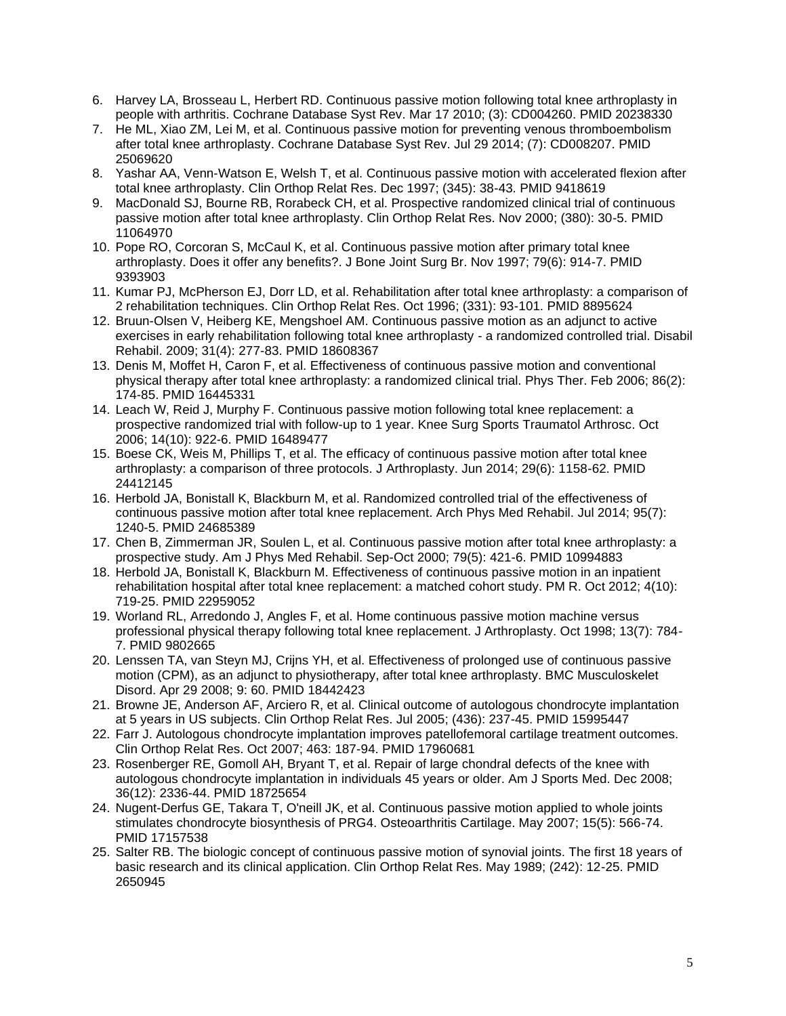- 6. Harvey LA, Brosseau L, Herbert RD. Continuous passive motion following total knee arthroplasty in people with arthritis. Cochrane Database Syst Rev. Mar 17 2010; (3): CD004260. PMID 20238330
- 7. He ML, Xiao ZM, Lei M, et al. Continuous passive motion for preventing venous thromboembolism after total knee arthroplasty. Cochrane Database Syst Rev. Jul 29 2014; (7): CD008207. PMID 25069620
- 8. Yashar AA, Venn-Watson E, Welsh T, et al. Continuous passive motion with accelerated flexion after total knee arthroplasty. Clin Orthop Relat Res. Dec 1997; (345): 38-43. PMID 9418619
- 9. MacDonald SJ, Bourne RB, Rorabeck CH, et al. Prospective randomized clinical trial of continuous passive motion after total knee arthroplasty. Clin Orthop Relat Res. Nov 2000; (380): 30-5. PMID 11064970
- 10. Pope RO, Corcoran S, McCaul K, et al. Continuous passive motion after primary total knee arthroplasty. Does it offer any benefits?. J Bone Joint Surg Br. Nov 1997; 79(6): 914-7. PMID 9393903
- 11. Kumar PJ, McPherson EJ, Dorr LD, et al. Rehabilitation after total knee arthroplasty: a comparison of 2 rehabilitation techniques. Clin Orthop Relat Res. Oct 1996; (331): 93-101. PMID 8895624
- 12. Bruun-Olsen V, Heiberg KE, Mengshoel AM. Continuous passive motion as an adjunct to active exercises in early rehabilitation following total knee arthroplasty - a randomized controlled trial. Disabil Rehabil. 2009; 31(4): 277-83. PMID 18608367
- 13. Denis M, Moffet H, Caron F, et al. Effectiveness of continuous passive motion and conventional physical therapy after total knee arthroplasty: a randomized clinical trial. Phys Ther. Feb 2006; 86(2): 174-85. PMID 16445331
- 14. Leach W, Reid J, Murphy F. Continuous passive motion following total knee replacement: a prospective randomized trial with follow-up to 1 year. Knee Surg Sports Traumatol Arthrosc. Oct 2006; 14(10): 922-6. PMID 16489477
- 15. Boese CK, Weis M, Phillips T, et al. The efficacy of continuous passive motion after total knee arthroplasty: a comparison of three protocols. J Arthroplasty. Jun 2014; 29(6): 1158-62. PMID 24412145
- 16. Herbold JA, Bonistall K, Blackburn M, et al. Randomized controlled trial of the effectiveness of continuous passive motion after total knee replacement. Arch Phys Med Rehabil. Jul 2014; 95(7): 1240-5. PMID 24685389
- 17. Chen B, Zimmerman JR, Soulen L, et al. Continuous passive motion after total knee arthroplasty: a prospective study. Am J Phys Med Rehabil. Sep-Oct 2000; 79(5): 421-6. PMID 10994883
- 18. Herbold JA, Bonistall K, Blackburn M. Effectiveness of continuous passive motion in an inpatient rehabilitation hospital after total knee replacement: a matched cohort study. PM R. Oct 2012; 4(10): 719-25. PMID 22959052
- 19. Worland RL, Arredondo J, Angles F, et al. Home continuous passive motion machine versus professional physical therapy following total knee replacement. J Arthroplasty. Oct 1998; 13(7): 784- 7. PMID 9802665
- 20. Lenssen TA, van Steyn MJ, Crijns YH, et al. Effectiveness of prolonged use of continuous passive motion (CPM), as an adjunct to physiotherapy, after total knee arthroplasty. BMC Musculoskelet Disord. Apr 29 2008; 9: 60. PMID 18442423
- 21. Browne JE, Anderson AF, Arciero R, et al. Clinical outcome of autologous chondrocyte implantation at 5 years in US subjects. Clin Orthop Relat Res. Jul 2005; (436): 237-45. PMID 15995447
- 22. Farr J. Autologous chondrocyte implantation improves patellofemoral cartilage treatment outcomes. Clin Orthop Relat Res. Oct 2007; 463: 187-94. PMID 17960681
- 23. Rosenberger RE, Gomoll AH, Bryant T, et al. Repair of large chondral defects of the knee with autologous chondrocyte implantation in individuals 45 years or older. Am J Sports Med. Dec 2008; 36(12): 2336-44. PMID 18725654
- 24. Nugent-Derfus GE, Takara T, O'neill JK, et al. Continuous passive motion applied to whole joints stimulates chondrocyte biosynthesis of PRG4. Osteoarthritis Cartilage. May 2007; 15(5): 566-74. PMID 17157538
- 25. Salter RB. The biologic concept of continuous passive motion of synovial joints. The first 18 years of basic research and its clinical application. Clin Orthop Relat Res. May 1989; (242): 12-25. PMID 2650945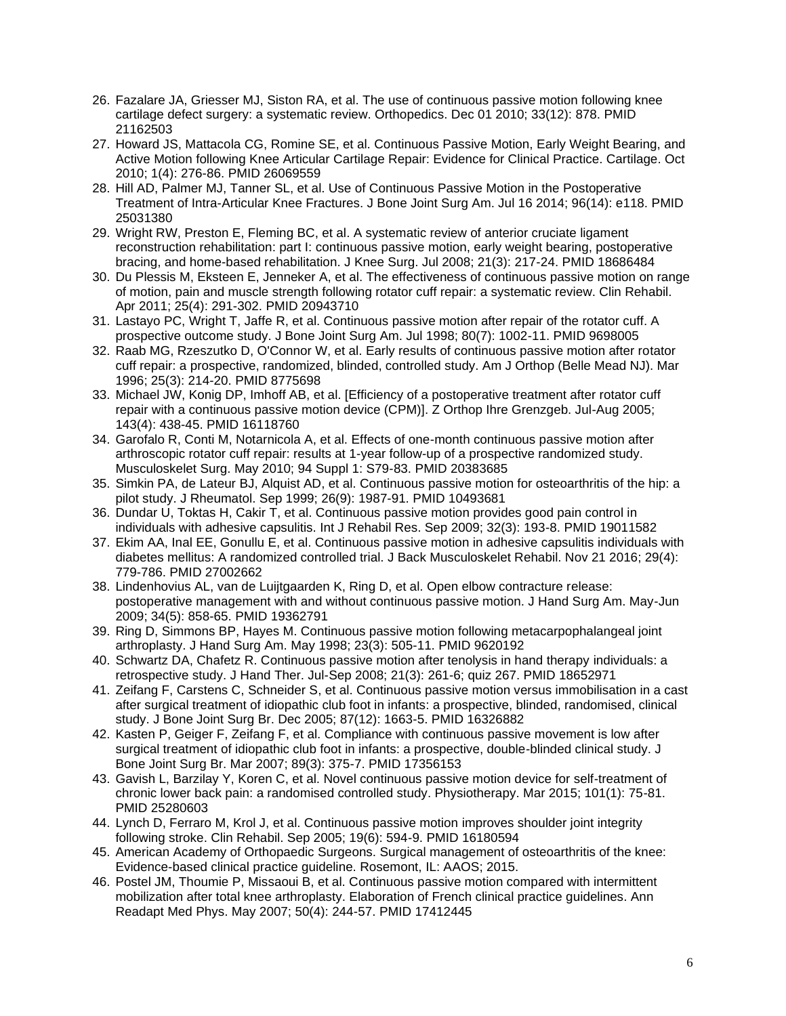- 26. Fazalare JA, Griesser MJ, Siston RA, et al. The use of continuous passive motion following knee cartilage defect surgery: a systematic review. Orthopedics. Dec 01 2010; 33(12): 878. PMID 21162503
- 27. Howard JS, Mattacola CG, Romine SE, et al. Continuous Passive Motion, Early Weight Bearing, and Active Motion following Knee Articular Cartilage Repair: Evidence for Clinical Practice. Cartilage. Oct 2010; 1(4): 276-86. PMID 26069559
- 28. Hill AD, Palmer MJ, Tanner SL, et al. Use of Continuous Passive Motion in the Postoperative Treatment of Intra-Articular Knee Fractures. J Bone Joint Surg Am. Jul 16 2014; 96(14): e118. PMID 25031380
- 29. Wright RW, Preston E, Fleming BC, et al. A systematic review of anterior cruciate ligament reconstruction rehabilitation: part I: continuous passive motion, early weight bearing, postoperative bracing, and home-based rehabilitation. J Knee Surg. Jul 2008; 21(3): 217-24. PMID 18686484
- 30. Du Plessis M, Eksteen E, Jenneker A, et al. The effectiveness of continuous passive motion on range of motion, pain and muscle strength following rotator cuff repair: a systematic review. Clin Rehabil. Apr 2011; 25(4): 291-302. PMID 20943710
- 31. Lastayo PC, Wright T, Jaffe R, et al. Continuous passive motion after repair of the rotator cuff. A prospective outcome study. J Bone Joint Surg Am. Jul 1998; 80(7): 1002-11. PMID 9698005
- 32. Raab MG, Rzeszutko D, O'Connor W, et al. Early results of continuous passive motion after rotator cuff repair: a prospective, randomized, blinded, controlled study. Am J Orthop (Belle Mead NJ). Mar 1996; 25(3): 214-20. PMID 8775698
- 33. Michael JW, Konig DP, Imhoff AB, et al. [Efficiency of a postoperative treatment after rotator cuff repair with a continuous passive motion device (CPM)]. Z Orthop Ihre Grenzgeb. Jul-Aug 2005; 143(4): 438-45. PMID 16118760
- 34. Garofalo R, Conti M, Notarnicola A, et al. Effects of one-month continuous passive motion after arthroscopic rotator cuff repair: results at 1-year follow-up of a prospective randomized study. Musculoskelet Surg. May 2010; 94 Suppl 1: S79-83. PMID 20383685
- 35. Simkin PA, de Lateur BJ, Alquist AD, et al. Continuous passive motion for osteoarthritis of the hip: a pilot study. J Rheumatol. Sep 1999; 26(9): 1987-91. PMID 10493681
- 36. Dundar U, Toktas H, Cakir T, et al. Continuous passive motion provides good pain control in individuals with adhesive capsulitis. Int J Rehabil Res. Sep 2009; 32(3): 193-8. PMID 19011582
- 37. Ekim AA, Inal EE, Gonullu E, et al. Continuous passive motion in adhesive capsulitis individuals with diabetes mellitus: A randomized controlled trial. J Back Musculoskelet Rehabil. Nov 21 2016; 29(4): 779-786. PMID 27002662
- 38. Lindenhovius AL, van de Luijtgaarden K, Ring D, et al. Open elbow contracture release: postoperative management with and without continuous passive motion. J Hand Surg Am. May-Jun 2009; 34(5): 858-65. PMID 19362791
- 39. Ring D, Simmons BP, Hayes M. Continuous passive motion following metacarpophalangeal joint arthroplasty. J Hand Surg Am. May 1998; 23(3): 505-11. PMID 9620192
- 40. Schwartz DA, Chafetz R. Continuous passive motion after tenolysis in hand therapy individuals: a retrospective study. J Hand Ther. Jul-Sep 2008; 21(3): 261-6; quiz 267. PMID 18652971
- 41. Zeifang F, Carstens C, Schneider S, et al. Continuous passive motion versus immobilisation in a cast after surgical treatment of idiopathic club foot in infants: a prospective, blinded, randomised, clinical study. J Bone Joint Surg Br. Dec 2005; 87(12): 1663-5. PMID 16326882
- 42. Kasten P, Geiger F, Zeifang F, et al. Compliance with continuous passive movement is low after surgical treatment of idiopathic club foot in infants: a prospective, double-blinded clinical study. J Bone Joint Surg Br. Mar 2007; 89(3): 375-7. PMID 17356153
- 43. Gavish L, Barzilay Y, Koren C, et al. Novel continuous passive motion device for self-treatment of chronic lower back pain: a randomised controlled study. Physiotherapy. Mar 2015; 101(1): 75-81. PMID 25280603
- 44. Lynch D, Ferraro M, Krol J, et al. Continuous passive motion improves shoulder joint integrity following stroke. Clin Rehabil. Sep 2005; 19(6): 594-9. PMID 16180594
- 45. American Academy of Orthopaedic Surgeons. Surgical management of osteoarthritis of the knee: Evidence-based clinical practice guideline. Rosemont, IL: AAOS; 2015.
- 46. Postel JM, Thoumie P, Missaoui B, et al. Continuous passive motion compared with intermittent mobilization after total knee arthroplasty. Elaboration of French clinical practice guidelines. Ann Readapt Med Phys. May 2007; 50(4): 244-57. PMID 17412445